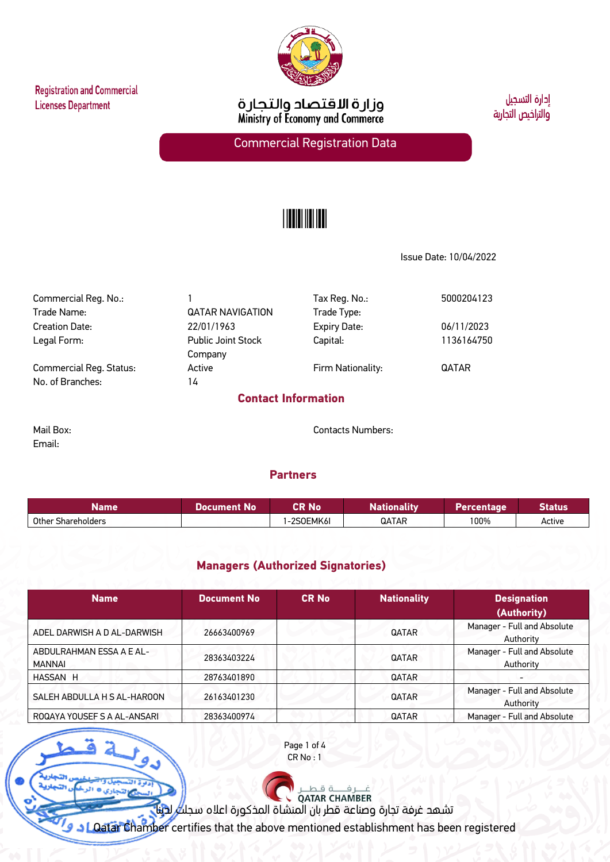**Registration and Commercial Licenses Department** 



وزارة الاقتصاد والتجارة<br>Ministry of Economy and Commerce

أدارة التسحيل والتراخيص التجاربة

Commercial Registration Data

# <u>|||||||||||||</u>

Issue Date: 10/04/2022

Commercial Reg. No.: 1 Tax Reg. No.: 5000204123 Trade Name:  $QATAR$  NAVIGATION Trade Type: Creation Date: 22/01/1963 Expiry Date: 06/11/2023 Legal Form: Public Joint Stock Company Capital: 1136164750 Commercial Reg. Status: Active Active Firm Nationality: QATAR No. of Branches: 14

## **Contact Information**

Email:

Mail Box: Contacts Numbers:

#### **Partners**

| Name               | <b>No</b><br>Document. | CR No    | .<br>╌<br><i>J</i> nality<br>Natio | <b>ercentage</b> | <b>Status</b> |
|--------------------|------------------------|----------|------------------------------------|------------------|---------------|
| Other Shareholders |                        | 2SOEMK6I | QATAR                              | 100%             | Active        |

### **Managers (Authorized Signatories)**

| <b>Name</b>                               | <b>Document No</b> | <b>CR No</b> | <b>Nationality</b> | <b>Designation</b><br>(Authority)        |
|-------------------------------------------|--------------------|--------------|--------------------|------------------------------------------|
| ADEL DARWISH A D AL-DARWISH               | 26663400969        |              | QATAR              | Manager - Full and Absolute<br>Authority |
| ABDULRAHMAN ESSA A E AL-<br><b>MANNAI</b> | 28363403224        |              | <b>QATAR</b>       | Manager - Full and Absolute<br>Authority |
| HASSAN H                                  | 28763401890        |              | <b>QATAR</b>       |                                          |
| SALEH ABDULLA H S AL-HAROON               | 26163401230        |              | <b>QATAR</b>       | Manager - Full and Absolute<br>Authority |
| ROQAYA YOUSEF S A AL-ANSARI               | 28363400974        |              | <b>QATAR</b>       | Manager - Full and Absolute              |

Page 1 of 4 CR No : 1

تشهد غرفة تجارة وصناعة قطر بأن المنشاة المذكورة اعلاه سجلت لدينا

Qatar Chamber certifies that the above mentioned establishment has been registered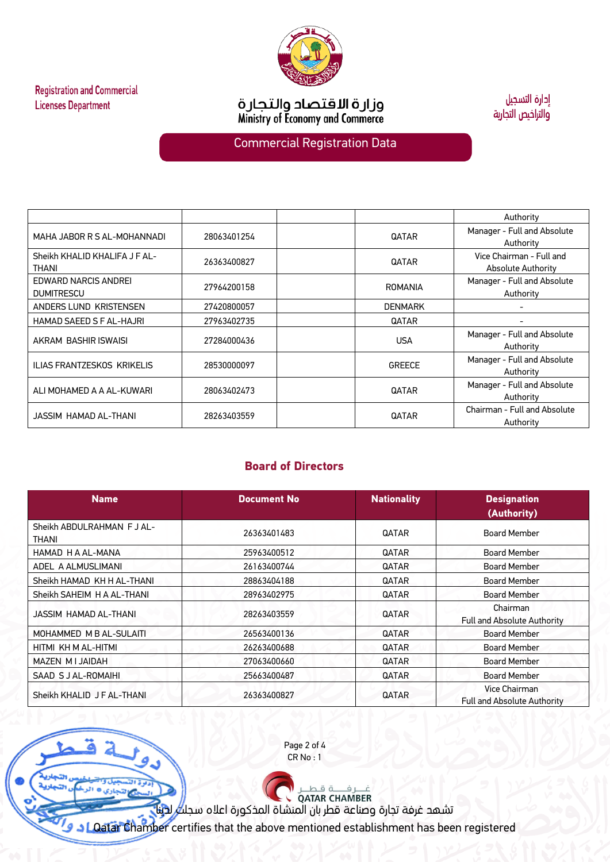

**Registration and Commercial Licenses Department** 

ä

aya

وزارة الاقتصاد والتجارة<br>Ministry of Economy and Commerce

إدارة التسجيل والتراخيص التجاربة

## Commercial Registration Data

|                                               |             |                | Authority                                      |  |
|-----------------------------------------------|-------------|----------------|------------------------------------------------|--|
| MAHA JABOR R S AL-MOHANNADI                   | 28063401254 | QATAR          | Manager - Full and Absolute<br>Authority       |  |
| Sheikh KHALID KHALIFA J F AL-<br><b>THANI</b> | 26363400827 | <b>QATAR</b>   | Vice Chairman - Full and<br>Absolute Authority |  |
| EDWARD NARCIS ANDREI<br><b>DUMITRESCU</b>     | 27964200158 | <b>ROMANIA</b> | Manager - Full and Absolute<br>Authority       |  |
| ANDERS LUND KRISTENSEN                        | 27420800057 | <b>DENMARK</b> |                                                |  |
| HAMAD SAEED S F AL-HAJRI                      | 27963402735 | QATAR          |                                                |  |
| AKRAM BASHIR ISWAISI                          | 27284000436 | <b>USA</b>     | Manager - Full and Absolute<br>Authority       |  |
| ILIAS FRANTZESKOS KRIKELIS                    | 28530000097 | <b>GREECE</b>  | Manager - Full and Absolute<br>Authority       |  |
| ALI MOHAMED A A AL-KUWARI                     | 28063402473 | <b>QATAR</b>   | Manager - Full and Absolute<br>Authority       |  |
| JASSIM HAMAD AL-THANI                         | 28263403559 | <b>QATAR</b>   | Chairman - Full and Absolute<br>Authority      |  |

## **Board of Directors**

| <b>Name</b><br><b>Document No</b>   |             | <b>Nationality</b>           | <b>Designation</b><br>(Authority)                   |
|-------------------------------------|-------------|------------------------------|-----------------------------------------------------|
| Sheikh ABDULRAHMAN F J AL-<br>THANI | 26363401483 | <b>QATAR</b>                 | <b>Board Member</b>                                 |
| HAMAD H A AL-MANA                   | 25963400512 | <b>QATAR</b>                 | <b>Board Member</b>                                 |
| ADEL A ALMUSLIMANI                  | 26163400744 | <b>QATAR</b>                 | <b>Board Member</b>                                 |
| Sheikh HAMAD KH H AL-THANI          | 28863404188 | <b>QATAR</b>                 | <b>Board Member</b>                                 |
| Sheikh SAHEIM H A AL-THANI          | 28963402975 | QATAR                        | <b>Board Member</b>                                 |
| JASSIM HAMAD AL-THANI               | 28263403559 | <b>QATAR</b>                 | Chairman<br><b>Full and Absolute Authority</b>      |
| MOHAMMED M B AL-SULAITI             | 26563400136 | <b>QATAR</b>                 | <b>Board Member</b>                                 |
| HITMI KH M AL-HITMI                 | 26263400688 | <b>QATAR</b>                 | <b>Board Member</b>                                 |
| MAZEN MIJAIDAH                      | 27063400660 | QATAR                        | <b>Board Member</b>                                 |
| SAAD S J AL-ROMAIHI                 | 25663400487 | <b>QATAR</b><br>Board Member |                                                     |
| Sheikh KHALID J F AL-THANI          | 26363400827 | <b>QATAR</b>                 | Vice Chairman<br><b>Full and Absolute Authority</b> |

Page 2 of 4 CR No : 1

تشهد غرفة تجارة وصناعة قطر بأن المنشاة المذكورة اعلاه سجلت لدينا

Qatar Chamber certifies that the above mentioned establishment has been registered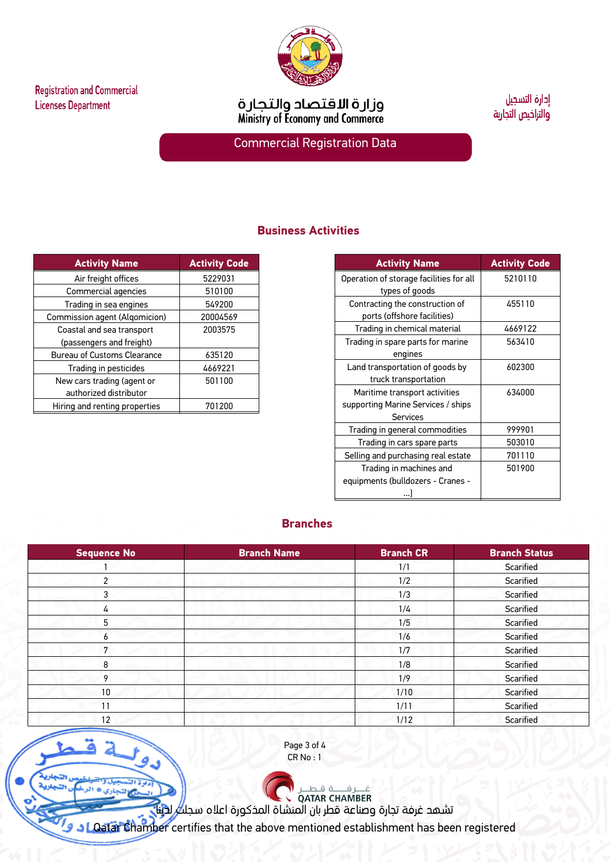

ã

ay.



وزارة الاقتصاد والتجارة<br>Ministry of Economy and Commerce

إدارة التسجيل والتراخيص التجاربة

Commercial Registration Data

## **Business Activities**

| <b>Activity Name</b>          | <b>Activity Code</b> |
|-------------------------------|----------------------|
| Air freight offices           | 5229031              |
| Commercial agencies           | 510100               |
| Trading in sea engines        | 549200               |
| Commission agent (Algomicion) | 20004569             |
| Coastal and sea transport     | 2003575              |
| (passengers and freight)      |                      |
| Bureau of Customs Clearance   | 635120               |
| Trading in pesticides         | 4669221              |
| New cars trading (agent or    | 501100               |
| authorized distributor        |                      |
| Hiring and renting properties | 701200               |

| <b>Activity Name</b>                    | <b>Activity Code</b> |
|-----------------------------------------|----------------------|
| Operation of storage facilities for all | 5210110              |
| types of goods                          |                      |
| Contracting the construction of         | 455110               |
| ports (offshore facilities)             |                      |
| Trading in chemical material            | 4669122              |
| Trading in spare parts for marine       | 563410               |
| engines                                 |                      |
| Land transportation of goods by         | 602300               |
| truck transportation                    |                      |
| Maritime transport activities           | 634000               |
| supporting Marine Services / ships      |                      |
| Services                                |                      |
| Trading in general commodities          | 999901               |
| Trading in cars spare parts             | 503010               |
| Selling and purchasing real estate      | 701110               |
| Trading in machines and                 | 501900               |
| equipments (bulldozers - Cranes -       |                      |
|                                         |                      |

## **Branches**

| Sequence No | <b>Branch Name</b> | <b>Branch CR</b> | <b>Branch Status</b> |
|-------------|--------------------|------------------|----------------------|
|             |                    | 1/1              | Scarified            |
| 2           |                    | 1/2              | Scarified            |
| 3           |                    | 1/3              | Scarified            |
| 4           |                    | 1/4              | Scarified            |
| 5           |                    | 1/5              | Scarified            |
| 6           |                    | 1/6              | Scarified            |
| 7           |                    | 1/7              | Scarified            |
| 8           |                    | 1/8              | Scarified            |
| 9           |                    | 1/9              | Scarified            |
| 10          |                    | 1/10             | Scarified            |
| 11          |                    | 1/11             | Scarified            |
| 12          |                    | 1/12             | Scarified            |

Page 3 of 4 CR No : 1

تشهد غرفة تجارة وصناعة قطر بأن المنشاة المذكورة اعلاه سجلت لدينا

Qatar Chamber certifies that the above mentioned establishment has been registered